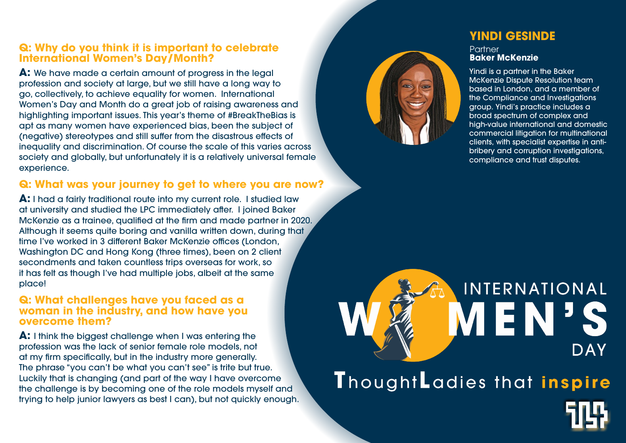## **Q: Why do you think it is important to celebrate International Women's Day/Month?**

**A:** We have made a certain amount of progress in the legal profession and society at large, but we still have a long way to go, collectively, to achieve equality for women. International Women's Day and Month do a great job of raising awareness and highlighting important issues. This year's theme of #BreakTheBias is apt as many women have experienced bias, been the subject of (negative) stereotypes and still suffer from the disastrous effects of inequality and discrimination. Of course the scale of this varies across society and globally, but unfortunately it is a relatively universal female experience.

## **Q: What was your journey to get to where you are now?**

**Partner Baker McKenzie**

**A:** I had a fairly traditional route into my current role. I studied law at university and studied the LPC immediately after. I joined Baker McKenzie as a trainee, qualified at the firm and made partner in 2020. Although it seems quite boring and vanilla written down, during that time I've worked in 3 different Baker McKenzie offices (London, Washington DC and Hong Kong (three times), been on 2 client secondments and taken countless trips overseas for work, so it has felt as though I've had multiple jobs, albeit at the same place!

### **Q: What challenges have you faced as a woman in the industry, and how have you overcome them?**

**A:** I think the biggest challenge when I was entering the profession was the lack of senior female role models, not at my firm specifically, but in the industry more generally. The phrase "you can't be what you can't see" is trite but true. Luckily that is changing (and part of the way I have overcome the challenge is by becoming one of the role models myself and trying to help junior lawyers as best I can), but not quickly enough.

# INTERNATIONAL EN **DAY** ThoughtLadies that inspire

# **YINDI GESINDE**

Yindi is a partner in the Baker McKenzie Dispute Resolution team based in London, and a member of the Compliance and Investigations group. Yindi's practice includes a broad spectrum of complex and high-value international and domestic commercial litigation for multinational clients, with specialist expertise in antibribery and corruption investigations, compliance and trust disputes.